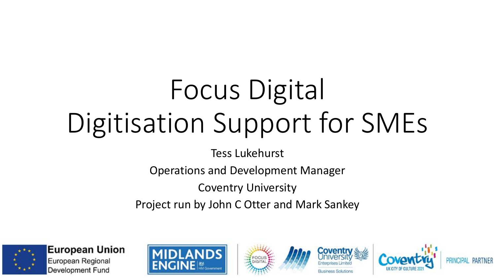# Focus Digital Digitisation Support for SMEs

Tess Lukehurst

Operations and Development Manager

Coventry University

Project run by John C Otter and Mark Sankey









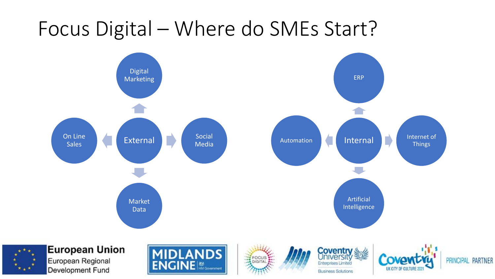#### Focus Digital – Where do SMEs Start?

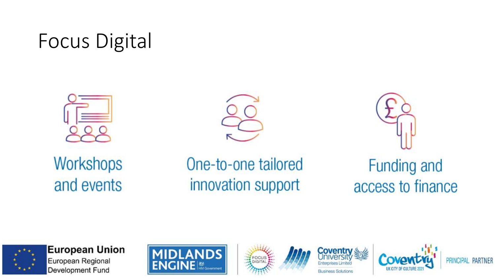### **Focus Digital**





Workshops and events

One-to-one tailored innovation support

**Funding and** access to finance



**European Union** European Regional Development Fund









**PARTNER IDAI**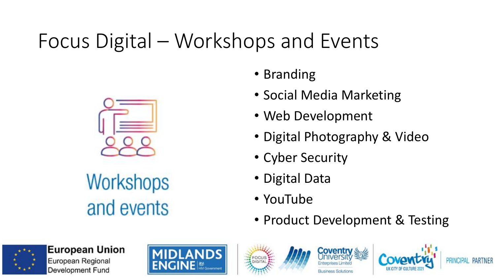# Focus Digital – Workshops and Events



Workshops and events

• Branding

- Social Media Marketing
- Web Development
- Digital Photography & Video
- Cyber Security
- Digital Data
- YouTube
- Product Development & Testing









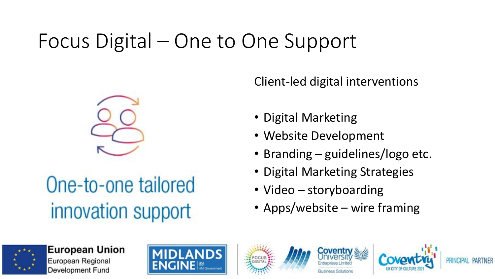# Focus Digital – One to One Support



One-to-one tailored innovation support

Client-led digital interventions

- Digital Marketing
- Website Development
- Branding guidelines/logo etc.
- Digital Marketing Strategies
- Video storyboarding
- Apps/website wire framing









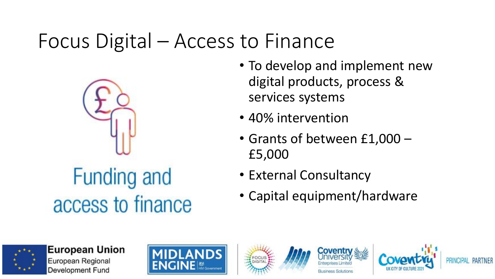#### Focus Digital – Access to Finance



- To develop and implement new digital products, process & services systems
- 40% intervention
- Grants of between £1,000 £5,000
- External Consultancy
- Capital equipment/hardware









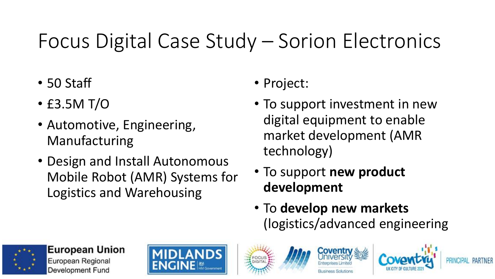# Focus Digital Case Study – Sorion Electronics

- 50 Staff
- £3.5M T/O
- Automotive, Engineering, Manufacturing
- Design and Install Autonomous Mobile Robot (AMR) Systems for Logistics and Warehousing
- Project:
- To support investment in new digital equipment to enable market development (AMR technology)
- To support **new product development**
- To **develop new markets**  (logistics/advanced engineering





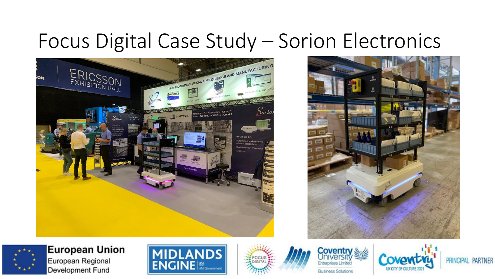#### Focus Digital Case Study - Sorion Electronics







**European Union** European Regional Development Fund









PRINCIPAL PARTNER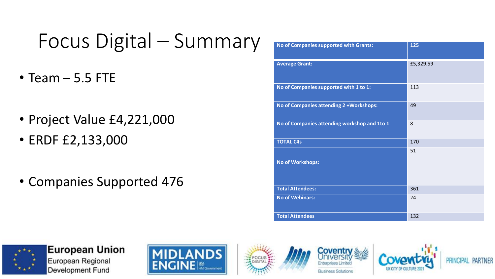# Focus Digital – Summary

- Team 5.5 FTE
- Project Value £4,221,000
- ERDF £2,133,000
- Companies Supported 476

| No of Companies supported with Grants:       | 125       |
|----------------------------------------------|-----------|
| <b>Average Grant:</b>                        | £5,329.59 |
| No of Companies supported with 1 to 1:       | 113       |
| No of Companies attending 2 + Workshops:     | 49        |
| No of Companies attending workshop and 1to 1 | 8         |
| <b>TOTAL C4s</b>                             | 170       |
| <b>No of Workshops:</b>                      | 51        |
| <b>Total Attendees:</b>                      | 361       |
| <b>No of Webinars:</b>                       | 24        |
| <b>Total Attendees</b>                       | 132       |